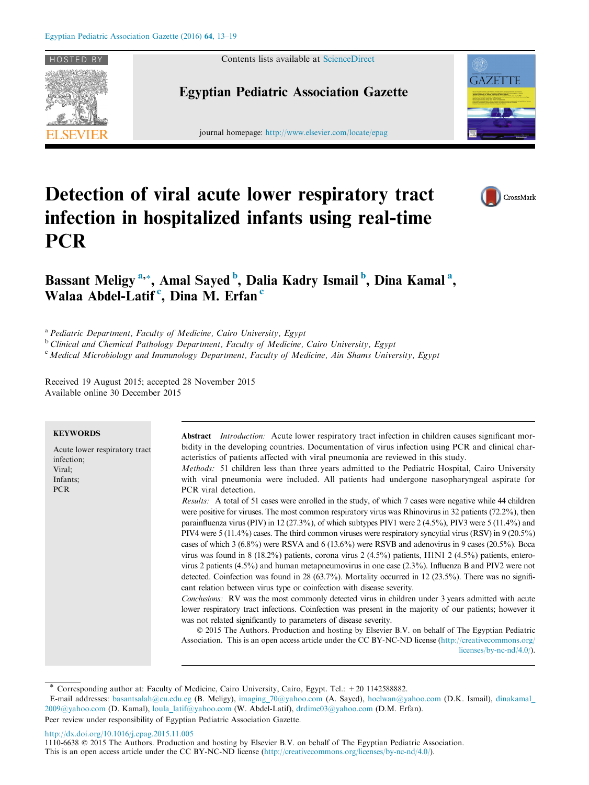

Contents lists available at [ScienceDirect](http://www.sciencedirect.com/science/journal/11106638)

# Egyptian Pediatric Association Gazette

journal homepage: http://www.elsevier.com/locate/epag



# Detection of viral acute lower respiratory tract infection in hospitalized infants using real-time **PCR**



# Bassant Meligy<sup>a,\*</sup>, Amal Sayed<sup>b</sup>, Dalia Kadry Ismail<sup>b</sup>, Dina Kamal<sup>a</sup>, Walaa Abdel-Latif<sup>c</sup>, Dina M. Erfan<sup>e</sup>

<sup>a</sup> Pediatric Department, Faculty of Medicine, Cairo University, Egypt

<sup>b</sup> Clinical and Chemical Pathology Department, Faculty of Medicine, Cairo University, Egypt

<sup>c</sup> Medical Microbiology and Immunology Department, Faculty of Medicine, Ain Shams University, Egypt

Received 19 August 2015; accepted 28 November 2015 Available online 30 December 2015

### **KEYWORDS**

Acute lower respiratory tract infection; Viral; Infants; PCR

Abstract *Introduction:* Acute lower respiratory tract infection in children causes significant morbidity in the developing countries. Documentation of virus infection using PCR and clinical characteristics of patients affected with viral pneumonia are reviewed in this study.

Methods: 51 children less than three years admitted to the Pediatric Hospital, Cairo University with viral pneumonia were included. All patients had undergone nasopharyngeal aspirate for PCR viral detection.

Results: A total of 51 cases were enrolled in the study, of which 7 cases were negative while 44 children were positive for viruses. The most common respiratory virus was Rhinovirus in 32 patients (72.2%), then parainfluenza virus (PIV) in 12 (27.3%), of which subtypes PIV1 were 2 (4.5%), PIV3 were 5 (11.4%) and PIV4 were 5 (11.4%) cases. The third common viruses were respiratory syncytial virus (RSV) in 9 (20.5%) cases of which 3 (6.8%) were RSVA and 6 (13.6%) were RSVB and adenovirus in 9 cases (20.5%). Boca virus was found in 8 (18.2%) patients, corona virus 2 (4.5%) patients, H1N1 2 (4.5%) patients, enterovirus 2 patients (4.5%) and human metapneumovirus in one case (2.3%). Influenza B and PIV2 were not detected. Coinfection was found in 28 (63.7%). Mortality occurred in 12 (23.5%). There was no significant relation between virus type or coinfection with disease severity.

Conclusions: RV was the most commonly detected virus in children under 3 years admitted with acute lower respiratory tract infections. Coinfection was present in the majority of our patients; however it was not related significantly to parameters of disease severity.

 2015 The Authors. Production and hosting by Elsevier B.V. on behalf of The Egyptian Pediatric Association. This is an open access article under the CC BY-NC-ND license [\(http://creativecommons.org/](http://creativecommons.org/licenses/by-nc-nd/4.0/) [licenses/by-nc-nd/4.0/\)](http://creativecommons.org/licenses/by-nc-nd/4.0/).

<http://dx.doi.org/10.1016/j.epag.2015.11.005>

<sup>\*</sup> Corresponding author at: Faculty of Medicine, Cairo University, Cairo, Egypt. Tel.: +20 1142588882.

E-mail addresses: [basantsalah@cu.edu.eg](mailto:basantsalah@cu.edu.eg) (B. Meligy), imaging 70@yahoo.com (A. Sayed), [hoelwan@yahoo.com](mailto:hoelwan@yahoo.com) (D.K. Ismail), dinakamal [2009@yahoo.com](mailto:dinakamal_ 2009@yahoo.com) (D. Kamal), [loula\\_latif@yahoo.com](mailto:loula_latif@yahoo.com) (W. Abdel-Latif), [drdime03@yahoo.com](mailto:drdime03@yahoo.com) (D.M. Erfan). Peer review under responsibility of Egyptian Pediatric Association Gazette.

<sup>1110-6638</sup> 2015 The Authors. Production and hosting by Elsevier B.V. on behalf of The Egyptian Pediatric Association.

This is an open access article under the CC BY-NC-ND license [\(http://creativecommons.org/licenses/by-nc-nd/4.0/](http://creativecommons.org/licenses/by-nc-nd/4.0/)).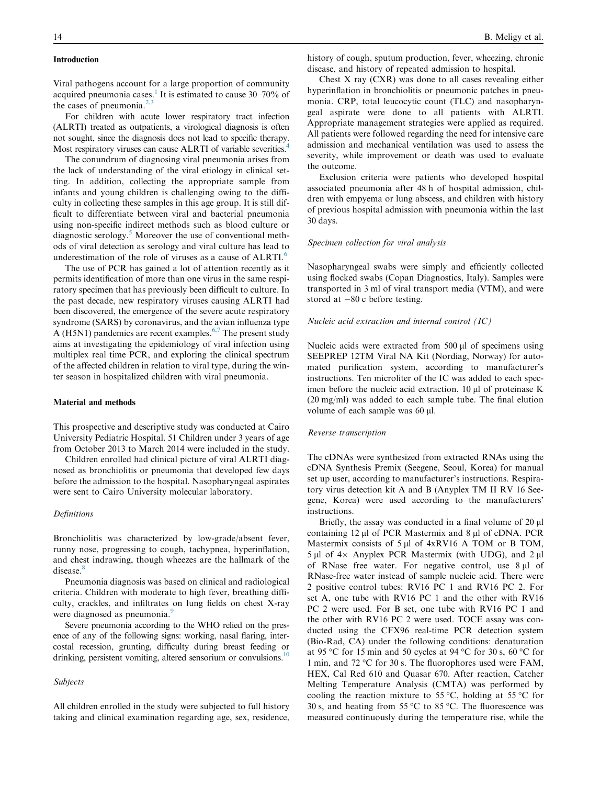# Introduction

Viral pathogens account for a large proportion of community acquired pneumonia cases.<sup>[1](#page-5-0)</sup> It is estimated to cause  $30-70\%$  of the cases of pneumonia. $^{2}$ ,

For children with acute lower respiratory tract infection (ALRTI) treated as outpatients, a virological diagnosis is often not sought, since the diagnosis does not lead to specific therapy. Most respiratory viruses can cause ALRTI of variable severities.<sup>[4](#page-5-0)</sup>

The conundrum of diagnosing viral pneumonia arises from the lack of understanding of the viral etiology in clinical setting. In addition, collecting the appropriate sample from infants and young children is challenging owing to the difficulty in collecting these samples in this age group. It is still difficult to differentiate between viral and bacterial pneumonia using non-specific indirect methods such as blood culture or diagnostic serology.<sup>5</sup> Moreover the use of conventional methods of viral detection as serology and viral culture has lead to underestimation of the role of viruses as a cause of ALRTI.<sup>[6](#page-5-0)</sup>

The use of PCR has gained a lot of attention recently as it permits identification of more than one virus in the same respiratory specimen that has previously been difficult to culture. In the past decade, new respiratory viruses causing ALRTI had been discovered, the emergence of the severe acute respiratory syndrome (SARS) by coronavirus, and the avian influenza type A (H5N1) pandemics are recent examples.<sup>[6,7](#page-5-0)</sup> The present study aims at investigating the epidemiology of viral infection using multiplex real time PCR, and exploring the clinical spectrum of the affected children in relation to viral type, during the winter season in hospitalized children with viral pneumonia.

# Material and methods

This prospective and descriptive study was conducted at Cairo University Pediatric Hospital. 51 Children under 3 years of age from October 2013 to March 2014 were included in the study.

Children enrolled had clinical picture of viral ALRTI diagnosed as bronchiolitis or pneumonia that developed few days before the admission to the hospital. Nasopharyngeal aspirates were sent to Cairo University molecular laboratory.

# Definitions

Bronchiolitis was characterized by low-grade/absent fever, runny nose, progressing to cough, tachypnea, hyperinflation, and chest indrawing, though wheezes are the hallmark of the disease.<sup>[8](#page-5-0)</sup>

Pneumonia diagnosis was based on clinical and radiological criteria. Children with moderate to high fever, breathing difficulty, crackles, and infiltrates on lung fields on chest X-ray were diagnosed as pneumonia.<sup>[9](#page-5-0)</sup>

Severe pneumonia according to the WHO relied on the presence of any of the following signs: working, nasal flaring, intercostal recession, grunting, difficulty during breast feeding or drinking, persistent vomiting, altered sensorium or convulsions.<sup>10</sup>

#### Subjects

All children enrolled in the study were subjected to full history taking and clinical examination regarding age, sex, residence, history of cough, sputum production, fever, wheezing, chronic disease, and history of repeated admission to hospital.

Chest X ray (CXR) was done to all cases revealing either hyperinflation in bronchiolitis or pneumonic patches in pneumonia. CRP, total leucocytic count (TLC) and nasopharyngeal aspirate were done to all patients with ALRTI. Appropriate management strategies were applied as required. All patients were followed regarding the need for intensive care admission and mechanical ventilation was used to assess the severity, while improvement or death was used to evaluate the outcome.

Exclusion criteria were patients who developed hospital associated pneumonia after 48 h of hospital admission, children with empyema or lung abscess, and children with history of previous hospital admission with pneumonia within the last 30 days.

#### Specimen collection for viral analysis

Nasopharyngeal swabs were simply and efficiently collected using flocked swabs (Copan Diagnostics, Italy). Samples were transported in 3 ml of viral transport media (VTM), and were stored at  $-80$  c before testing.

# Nucleic acid extraction and internal control (IC)

Nucleic acids were extracted from  $500 \mu l$  of specimens using SEEPREP 12TM Viral NA Kit (Nordiag, Norway) for automated purification system, according to manufacturer's instructions. Ten microliter of the IC was added to each specimen before the nucleic acid extraction.  $10 \mu l$  of proteinase K (20 mg/ml) was added to each sample tube. The final elution volume of each sample was 60 µl.

#### Reverse transcription

The cDNAs were synthesized from extracted RNAs using the cDNA Synthesis Premix (Seegene, Seoul, Korea) for manual set up user, according to manufacturer's instructions. Respiratory virus detection kit A and B (Anyplex TM II RV 16 Seegene, Korea) were used according to the manufacturers' instructions.

Briefly, the assay was conducted in a final volume of  $20 \mu$ containing  $12 \mu l$  of PCR Mastermix and  $8 \mu l$  of cDNA. PCR Mastermix consists of  $5 \mu l$  of  $4xRV16$  A TOM or B TOM, 5 µl of  $4 \times$  Anyplex PCR Mastermix (with UDG), and 2 µl of RNase free water. For negative control, use 8 µl of RNase-free water instead of sample nucleic acid. There were 2 positive control tubes: RV16 PC 1 and RV16 PC 2. For set A, one tube with RV16 PC 1 and the other with RV16 PC 2 were used. For B set, one tube with RV16 PC 1 and the other with RV16 PC 2 were used. TOCE assay was conducted using the CFX96 real-time PCR detection system (Bio-Rad, CA) under the following conditions: denaturation at 95 °C for 15 min and 50 cycles at 94 °C for 30 s, 60 °C for 1 min, and 72 °C for 30 s. The fluorophores used were FAM, HEX, Cal Red 610 and Quasar 670. After reaction, Catcher Melting Temperature Analysis (CMTA) was performed by cooling the reaction mixture to 55 °C, holding at 55 °C for 30 s, and heating from 55 °C to 85 °C. The fluorescence was measured continuously during the temperature rise, while the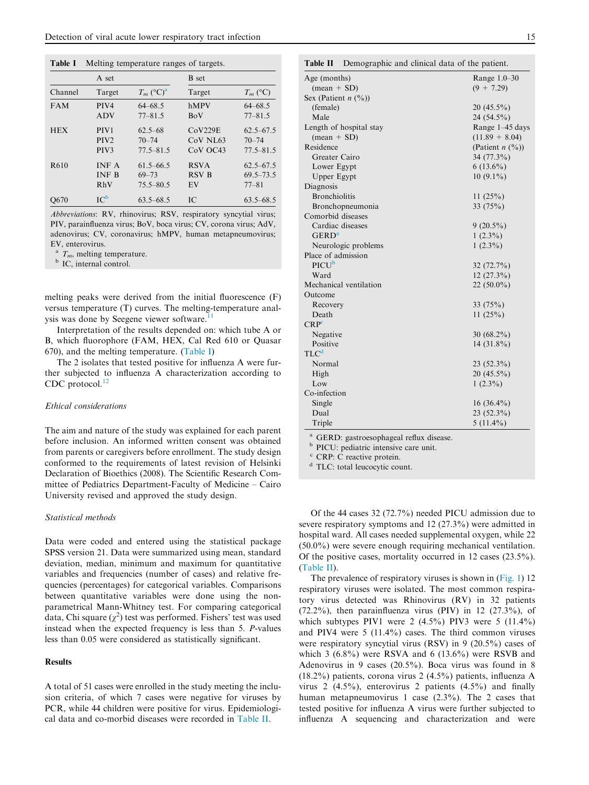| Table I    | Melting temperature ranges of targets.                   |                                             |                                      |                                             |  |  |  |
|------------|----------------------------------------------------------|---------------------------------------------|--------------------------------------|---------------------------------------------|--|--|--|
| A set      |                                                          |                                             | <b>B</b> set                         |                                             |  |  |  |
| Channel    | Target                                                   | $T_m$ (°C) <sup>a</sup>                     | Target                               | $T_m$ (°C)                                  |  |  |  |
| <b>FAM</b> | PIV <sub>4</sub><br><b>ADV</b>                           | $64 - 68.5$<br>$77 - 81.5$                  | hMPV<br><b>BoV</b>                   | $64 - 68.5$<br>$77 - 81.5$                  |  |  |  |
| <b>HEX</b> | PIV <sub>1</sub><br>PIV <sub>2</sub><br>PIV <sub>3</sub> | $62.5 - 68$<br>$70 - 74$<br>$77.5 - 81.5$   | CoV229E<br>$CoV$ NL $63$<br>CoV OC43 | $62.5 - 67.5$<br>$70 - 74$<br>$77.5 - 81.5$ |  |  |  |
| R610       | <b>INF A</b><br><b>INF B</b><br>RhV                      | $61.5 - 66.5$<br>$69 - 73$<br>$75.5 - 80.5$ | <b>RSVA</b><br><b>RSV B</b><br>EV    | $62.5 - 67.5$<br>$69.5 - 73.5$<br>$77 - 81$ |  |  |  |
| O670       | IC <sup>b</sup>                                          | $63.5 - 68.5$                               | IC.                                  | $63.5 - 68.5$                               |  |  |  |

Abbreviations: RV, rhinovirus; RSV, respiratory syncytial virus; PIV, parainfluenza virus; BoV, boca virus; CV, corona virus; AdV, adenovirus; CV, coronavirus; hMPV, human metapneumovirus; EV, enterovirus.

<sup>a</sup>  $T_m$ , melting temperature.<br><sup>b</sup> IC, internal control.

melting peaks were derived from the initial fluorescence (F) versus temperature (T) curves. The melting-temperature analysis was done by Seegene viewer software.<sup>1</sup>

Interpretation of the results depended on: which tube A or B, which fluorophore (FAM, HEX, Cal Red 610 or Quasar 670), and the melting temperature. (Table I)

The 2 isolates that tested positive for influenza A were further subjected to influenza A characterization according to CDC protocol. $^{12}$  $^{12}$  $^{12}$ 

# Ethical considerations

The aim and nature of the study was explained for each parent before inclusion. An informed written consent was obtained from parents or caregivers before enrollment. The study design conformed to the requirements of latest revision of Helsinki Declaration of Bioethics (2008). The Scientific Research Committee of Pediatrics Department-Faculty of Medicine – Cairo University revised and approved the study design.

# Statistical methods

Data were coded and entered using the statistical package SPSS version 21. Data were summarized using mean, standard deviation, median, minimum and maximum for quantitative variables and frequencies (number of cases) and relative frequencies (percentages) for categorical variables. Comparisons between quantitative variables were done using the nonparametrical Mann-Whitney test. For comparing categorical data, Chi square  $(\chi^2)$  test was performed. Fishers' test was used instead when the expected frequency is less than 5. P-values less than 0.05 were considered as statistically significant.

# **Results**

A total of 51 cases were enrolled in the study meeting the inclusion criteria, of which 7 cases were negative for viruses by PCR, while 44 children were positive for virus. Epidemiological data and co-morbid diseases were recorded in Table II.

| ×                 |
|-------------------|
| ٦<br>I<br>×<br>۰. |

| Table II<br>Demographic and clinical data of the patient. |                                |
|-----------------------------------------------------------|--------------------------------|
| Age (months)                                              | Range 1.0–30                   |
| $(\text{mean} + \text{SD})$                               | $(9 + 7.29)$                   |
| Sex (Patient $n$ $(\%)$ )                                 |                                |
| (female)                                                  | $20(45.5\%)$                   |
| Male                                                      | 24 (54.5%)                     |
| Length of hospital stay                                   | Range 1-45 days                |
| $(mean + SD)$                                             | $(11.89 + 8.04)$               |
| Residence                                                 | (Patient $n$ $(\frac{9}{0})$ ) |
| Greater Cairo                                             | 34 (77.3%)                     |
| Lower Egypt                                               | $6(13.6\%)$                    |
| Upper Egypt                                               | $10(9.1\%)$                    |
| Diagnosis                                                 |                                |
| <b>Bronchiolitis</b>                                      | 11(25%)                        |
| Bronchopneumonia                                          | 33 $(75%)$                     |
| Comorbid diseases                                         |                                |
| Cardiac diseases                                          | $9(20.5\%)$                    |
| GERD <sup>a</sup>                                         | $1(2.3\%)$                     |
| Neurologic problems                                       | $1(2.3\%)$                     |
| Place of admission                                        |                                |
| $PICU^b$                                                  | $32(72.7\%)$                   |
| Ward                                                      | $12(27.3\%)$                   |
| Mechanical ventilation                                    | $22(50.0\%)$                   |
| Outcome                                                   |                                |
| Recovery                                                  | 33 $(75%)$                     |
| Death                                                     | 11(25%)                        |
| CRP <sup>c</sup>                                          |                                |
| Negative                                                  | 30 $(68.2\%)$                  |
| Positive                                                  | $14(31.8\%)$                   |
| TLC <sup>d</sup>                                          |                                |
| Normal                                                    | $23(52.3\%)$                   |
| High                                                      | $20(45.5\%)$                   |
| Low                                                       | $1(2.3\%)$                     |
| Co-infection                                              |                                |
| Single                                                    | $16(36.4\%)$                   |
| Dual                                                      | 23 (52.3%)                     |

<sup>a</sup> GERD: gastroesophageal reflux disease.<br><sup>b</sup> PICU: pediatric intensive care unit

 $b$  PICU: pediatric intensive care unit.

CRP: C reactive protein.

<sup>d</sup> TLC: total leucocytic count.

Of the 44 cases 32 (72.7%) needed PICU admission due to severe respiratory symptoms and 12 (27.3%) were admitted in hospital ward. All cases needed supplemental oxygen, while 22 (50.0%) were severe enough requiring mechanical ventilation. Of the positive cases, mortality occurred in 12 cases (23.5%). (Table II).

Triple  $5(11.4\%)$ 

The prevalence of respiratory viruses is shown in [\(Fig. 1](#page-3-0)) 12 respiratory viruses were isolated. The most common respiratory virus detected was Rhinovirus (RV) in 32 patients (72.2%), then parainfluenza virus (PIV) in 12 (27.3%), of which subtypes PIV1 were  $2(4.5\%)$  PIV3 were  $5(11.4\%)$ and PIV4 were 5 (11.4%) cases. The third common viruses were respiratory syncytial virus (RSV) in 9 (20.5%) cases of which 3  $(6.8\%)$  were RSVA and 6  $(13.6\%)$  were RSVB and Adenovirus in 9 cases (20.5%). Boca virus was found in 8 (18.2%) patients, corona virus 2 (4.5%) patients, influenza A virus 2 (4.5%), enterovirus 2 patients (4.5%) and finally human metapneumovirus 1 case (2.3%). The 2 cases that tested positive for influenza A virus were further subjected to influenza A sequencing and characterization and were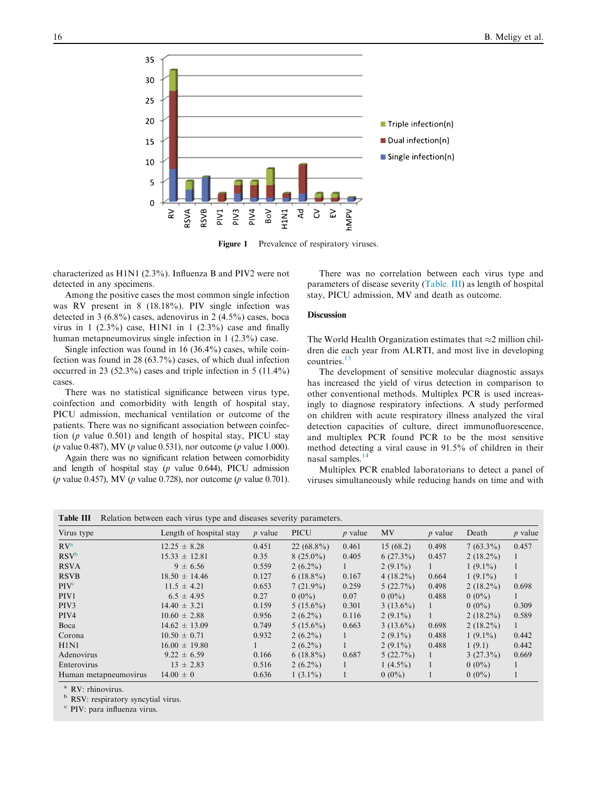<span id="page-3-0"></span>

Figure 1 Prevalence of respiratory viruses.

characterized as H1N1 (2.3%). Influenza B and PIV2 were not detected in any specimens.

Among the positive cases the most common single infection was RV present in 8 (18.18%). PIV single infection was detected in 3 (6.8%) cases, adenovirus in 2 (4.5%) cases, boca virus in 1 (2.3%) case, H1N1 in 1 (2.3%) case and finally human metapneumovirus single infection in 1 (2.3%) case.

Single infection was found in 16 (36.4%) cases, while coinfection was found in 28 (63.7%) cases, of which dual infection occurred in 23 (52.3%) cases and triple infection in 5 (11.4%) cases.

There was no statistical significance between virus type, coinfection and comorbidity with length of hospital stay, PICU admission, mechanical ventilation or outcome of the patients. There was no significant association between coinfection (p value 0.501) and length of hospital stay, PICU stay (*p* value 0.487), MV (*p* value 0.531), nor outcome (*p* value 1.000).

Again there was no significant relation between comorbidity and length of hospital stay  $(p \text{ value } 0.644)$ , PICU admission (p value 0.457), MV (p value 0.728), nor outcome (p value 0.701).

There was no correlation between each virus type and parameters of disease severity (Table. III) as length of hospital stay, PICU admission, MV and death as outcome.

#### Discussion

The World Health Organization estimates that  $\approx$  2 million children die each year from ALRTI, and most live in developing countries.<sup>[13](#page-5-0)</sup>

The development of sensitive molecular diagnostic assays has increased the yield of virus detection in comparison to other conventional methods. Multiplex PCR is used increasingly to diagnose respiratory infections. A study performed on children with acute respiratory illness analyzed the viral detection capacities of culture, direct immunofluorescence, and multiplex PCR found PCR to be the most sensitive method detecting a viral cause in 91.5% of children in their nasal samples.<sup>[14](#page-5-0)</sup>

Multiplex PCR enabled laboratorians to detect a panel of viruses simultaneously while reducing hands on time and with

| <b>Table III</b> Relation between each virus type and diseases severity parameters. |  |  |
|-------------------------------------------------------------------------------------|--|--|
|-------------------------------------------------------------------------------------|--|--|

| Virus type            | Length of hospital stay | $p$ value | <b>PICU</b>  | $p$ value | MV          | <i>p</i> value | Death       | <i>p</i> value |
|-----------------------|-------------------------|-----------|--------------|-----------|-------------|----------------|-------------|----------------|
| RV <sup>a</sup>       | $12.25 \pm 8.28$        | 0.451     | $22(68.8\%)$ | 0.461     | 15(68.2)    | 0.498          | $7(63.3\%)$ | 0.457          |
| $RSV^b$               | $15.33 \pm 12.81$       | 0.35      | $8(25.0\%)$  | 0.405     | $6(27.3\%)$ | 0.457          | $2(18.2\%)$ |                |
| <b>RSVA</b>           | $9 \pm 6.56$            | 0.559     | $2(6.2\%)$   |           | $2(9.1\%)$  |                | $1(9.1\%)$  |                |
| <b>RSVB</b>           | $18.50 \pm 14.46$       | 0.127     | $6(18.8\%)$  | 0.167     | $4(18.2\%)$ | 0.664          | $1(9.1\%)$  |                |
| PIV <sup>c</sup>      | $11.5 \pm 4.21$         | 0.653     | $7(21.9\%)$  | 0.259     | $5(22.7\%)$ | 0.498          | $2(18.2\%)$ | 0.698          |
| PIV <sub>1</sub>      | $6.5 \pm 4.95$          | 0.27      | $0(0\%)$     | 0.07      | $0(0\%)$    | 0.488          | $0(0\%)$    |                |
| PIV <sub>3</sub>      | $14.40 \pm 3.21$        | 0.159     | $5(15.6\%)$  | 0.301     | $3(13.6\%)$ | 1              | $0(0\%)$    | 0.309          |
| PIV <sub>4</sub>      | $10.60 \pm 2.88$        | 0.956     | $2(6.2\%)$   | 0.116     | $2(9.1\%)$  |                | $2(18.2\%)$ | 0.589          |
| Boca                  | $14.62 \pm 13.09$       | 0.749     | $5(15.6\%)$  | 0.663     | $3(13.6\%)$ | 0.698          | $2(18.2\%)$ | 1              |
| Corona                | $10.50 \pm 0.71$        | 0.932     | $2(6.2\%)$   |           | $2(9.1\%)$  | 0.488          | $1(9.1\%)$  | 0.442          |
| H1N1                  | $16.00 \pm 19.80$       |           | $2(6.2\%)$   |           | $2(9.1\%)$  | 0.488          | 1(9.1)      | 0.442          |
| Adenovirus            | $9.22 \pm 6.59$         | 0.166     | $6(18.8\%)$  | 0.687     | $5(22.7\%)$ |                | $3(27.3\%)$ | 0.669          |
| Enterovirus           | $13 \pm 2.83$           | 0.516     | $2(6.2\%)$   |           | $1(4.5\%)$  |                | $0(0\%)$    |                |
| Human metapneumovirus | $14.00 \pm 0$           | 0.636     | $1(3.1\%)$   |           | $0(0\%)$    |                | $0(0\%)$    |                |

<sup>a</sup> RV: rhinovirus.

<sup>b</sup> RSV: respiratory syncytial virus.

<sup>c</sup> PIV: para influenza virus.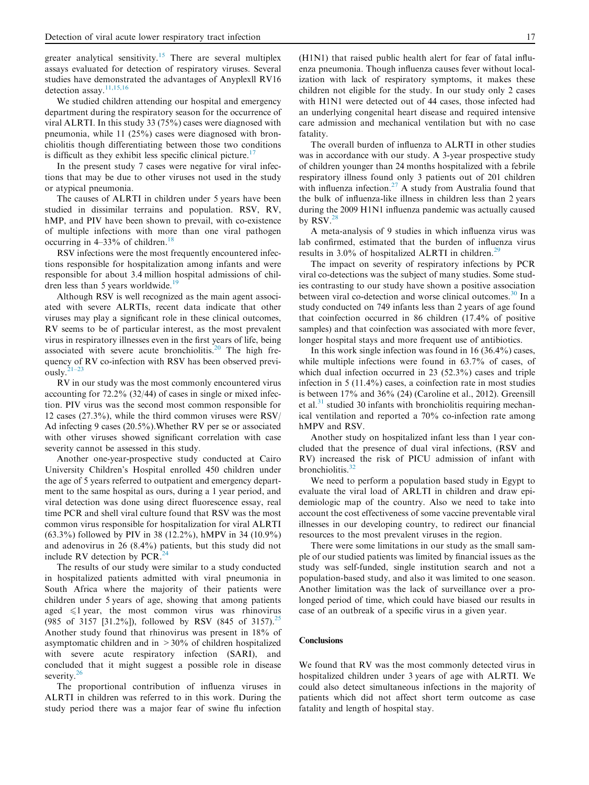greater analytical sensitivity.<sup>[15](#page-5-0)</sup> There are several multiplex assays evaluated for detection of respiratory viruses. Several studies have demonstrated the advantages of Anyplexll RV16 detection assay.<sup>[11,15,16](#page-5-0)</sup>

We studied children attending our hospital and emergency department during the respiratory season for the occurrence of viral ALRTI. In this study 33 (75%) cases were diagnosed with pneumonia, while 11 (25%) cases were diagnosed with bronchiolitis though differentiating between those two conditions is difficult as they exhibit less specific clinical picture.<sup>[17](#page-5-0)</sup>

In the present study 7 cases were negative for viral infections that may be due to other viruses not used in the study or atypical pneumonia.

The causes of ALRTI in children under 5 years have been studied in dissimilar terrains and population. RSV, RV, hMP, and PIV have been shown to prevail, with co-existence of multiple infections with more than one viral pathogen occurring in  $4-33\%$  of children.<sup>[18](#page-5-0)</sup>

RSV infections were the most frequently encountered infections responsible for hospitalization among infants and were responsible for about 3.4 million hospital admissions of children less than 5 years worldwide.<sup>19</sup>

Although RSV is well recognized as the main agent associated with severe ALRTIs, recent data indicate that other viruses may play a significant role in these clinical outcomes, RV seems to be of particular interest, as the most prevalent virus in respiratory illnesses even in the first years of life, being associated with severe acute bronchiolitis.<sup>[20](#page-5-0)</sup> The high frequency of RV co-infection with RSV has been observed previously.[21–23](#page-5-0)

RV in our study was the most commonly encountered virus accounting for 72.2% (32/44) of cases in single or mixed infection. PIV virus was the second most common responsible for 12 cases (27.3%), while the third common viruses were RSV/ Ad infecting 9 cases (20.5%).Whether RV per se or associated with other viruses showed significant correlation with case severity cannot be assessed in this study.

Another one-year-prospective study conducted at Cairo University Children's Hospital enrolled 450 children under the age of 5 years referred to outpatient and emergency department to the same hospital as ours, during a 1 year period, and viral detection was done using direct fluorescence essay, real time PCR and shell viral culture found that RSV was the most common virus responsible for hospitalization for viral ALRTI (63.3%) followed by PIV in 38 (12.2%), hMPV in 34 (10.9%) and adenovirus in 26 (8.4%) patients, but this study did not include RV detection by PCR.[24](#page-5-0)

The results of our study were similar to a study conducted in hospitalized patients admitted with viral pneumonia in South Africa where the majority of their patients were children under 5 years of age, showing that among patients aged  $\leq 1$  year, the most common virus was rhinovirus (985 of 3157 [31.2%]), followed by RSV (845 of 3157).<sup>[25](#page-5-0)</sup> Another study found that rhinovirus was present in 18% of asymptomatic children and in  $>30\%$  of children hospitalized with severe acute respiratory infection (SARI), and concluded that it might suggest a possible role in disease severity. $^{2}$ 

The proportional contribution of influenza viruses in ALRTI in children was referred to in this work. During the study period there was a major fear of swine flu infection (H1N1) that raised public health alert for fear of fatal influenza pneumonia. Though influenza causes fever without localization with lack of respiratory symptoms, it makes these children not eligible for the study. In our study only 2 cases with H1N1 were detected out of 44 cases, those infected had an underlying congenital heart disease and required intensive care admission and mechanical ventilation but with no case fatality.

The overall burden of influenza to ALRTI in other studies was in accordance with our study. A 3-year prospective study of children younger than 24 months hospitalized with a febrile respiratory illness found only 3 patients out of 201 children with influenza infection.<sup>[27](#page-5-0)</sup> A study from Australia found that the bulk of influenza-like illness in children less than 2 years during the 2009 H1N1 influenza pandemic was actually caused by  $RSV<sup>2</sup>$ 

A meta-analysis of 9 studies in which influenza virus was lab confirmed, estimated that the burden of influenza virus results in  $3.0\%$  of hospitalized ALRTI in children.<sup>[29](#page-6-0)</sup>

The impact on severity of respiratory infections by PCR viral co-detections was the subject of many studies. Some studies contrasting to our study have shown a positive association between viral co-detection and worse clinical outcomes.<sup>[30](#page-6-0)</sup> In a study conducted on 749 infants less than 2 years of age found that coinfection occurred in 86 children (17.4% of positive samples) and that coinfection was associated with more fever, longer hospital stays and more frequent use of antibiotics.

In this work single infection was found in  $16 (36.4\%)$  cases, while multiple infections were found in 63.7% of cases, of which dual infection occurred in 23 (52.3%) cases and triple infection in 5 (11.4%) cases, a coinfection rate in most studies is between 17% and 36% (24) (Caroline et al., 2012). Greensill et al. $31$  studied 30 infants with bronchiolitis requiring mechanical ventilation and reported a 70% co-infection rate among hMPV and RSV.

Another study on hospitalized infant less than 1 year concluded that the presence of dual viral infections, (RSV and RV) increased the risk of PICU admission of infant with bronchiolitis.<sup>[32](#page-6-0)</sup>

We need to perform a population based study in Egypt to evaluate the viral load of ARLTI in children and draw epidemiologic map of the country. Also we need to take into account the cost effectiveness of some vaccine preventable viral illnesses in our developing country, to redirect our financial resources to the most prevalent viruses in the region.

There were some limitations in our study as the small sample of our studied patients was limited by financial issues as the study was self-funded, single institution search and not a population-based study, and also it was limited to one season. Another limitation was the lack of surveillance over a prolonged period of time, which could have biased our results in case of an outbreak of a specific virus in a given year.

# **Conclusions**

We found that RV was the most commonly detected virus in hospitalized children under 3 years of age with ALRTI. We could also detect simultaneous infections in the majority of patients which did not affect short term outcome as case fatality and length of hospital stay.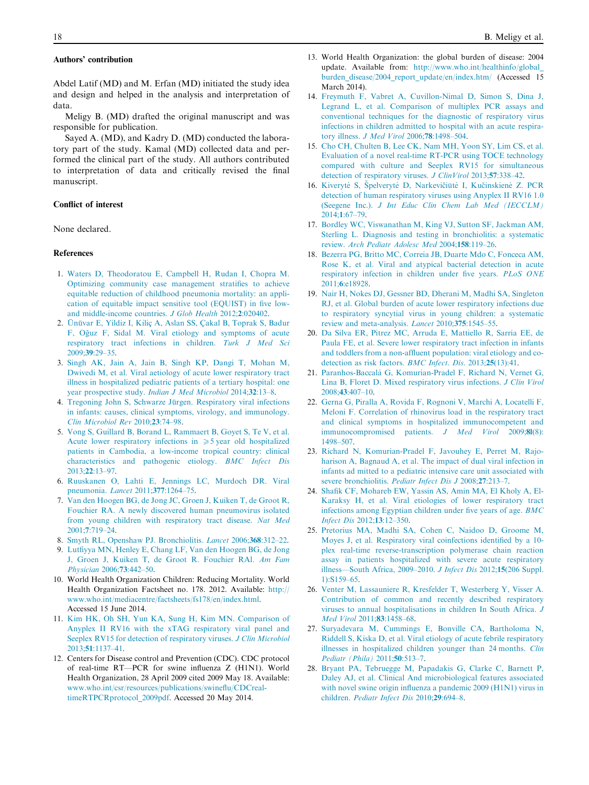# <span id="page-5-0"></span>Authors' contribution

Abdel Latif (MD) and M. Erfan (MD) initiated the study idea and design and helped in the analysis and interpretation of data.

Meligy B. (MD) drafted the original manuscript and was responsible for publication.

Sayed A. (MD), and Kadry D. (MD) conducted the laboratory part of the study. Kamal (MD) collected data and performed the clinical part of the study. All authors contributed to interpretation of data and critically revised the final manuscript.

# Conflict of interest

None declared.

#### References

- 1. [Waters D, Theodoratou E, Campbell H, Rudan I, Chopra M.](http://refhub.elsevier.com/S1110-6638(15)00062-2/h0005) [Optimizing community case management stratifies to achieve](http://refhub.elsevier.com/S1110-6638(15)00062-2/h0005) [equitable reduction of childhood pneumonia mortality: an appli](http://refhub.elsevier.com/S1110-6638(15)00062-2/h0005)[cation of equitable impact sensitive tool \(EQUIST\) in five low](http://refhub.elsevier.com/S1110-6638(15)00062-2/h0005)[and middle-income countries.](http://refhub.elsevier.com/S1110-6638(15)00062-2/h0005) J Glob Health 2012;2:020402.
- 2. Ünüvar E, Yildiz I, Kiliç A, Aslan SS, Çakal B, Toprak S, Badur F, Oğuz F, Sidal M. Viral etiology and symptoms of acute [respiratory tract infections in children.](http://refhub.elsevier.com/S1110-6638(15)00062-2/h0010) Turk J Med Sci 2009;39[:29–35](http://refhub.elsevier.com/S1110-6638(15)00062-2/h0010).
- 3. [Singh AK, Jain A, Jain B, Singh KP, Dangi T, Mohan M,](http://refhub.elsevier.com/S1110-6638(15)00062-2/h0015) [Dwivedi M, et al. Viral aetiology of acute lower respiratory tract](http://refhub.elsevier.com/S1110-6638(15)00062-2/h0015) [illness in hospitalized pediatric patients of a tertiary hospital: one](http://refhub.elsevier.com/S1110-6638(15)00062-2/h0015) year prospective study. [Indian J Med Microbiol](http://refhub.elsevier.com/S1110-6638(15)00062-2/h0015) 2014;32:13–8.
- 4. Tregoning John S, Schwarze Jürgen. Respiratory viral infections [in infants: causes, clinical symptoms, virology, and immunology.](http://refhub.elsevier.com/S1110-6638(15)00062-2/h0020) [Clin Microbiol Rev](http://refhub.elsevier.com/S1110-6638(15)00062-2/h0020) 2010;23:74–98.
- 5. [Vong S, Guillard B, Borand L, Rammaert B, Goyet S, Te V, et al.](http://refhub.elsevier.com/S1110-6638(15)00062-2/h0025) [Acute lower respiratory infections in](http://refhub.elsevier.com/S1110-6638(15)00062-2/h0025)  $\geq 5$  year old hospitalized [patients in Cambodia, a low-income tropical country: clinical](http://refhub.elsevier.com/S1110-6638(15)00062-2/h0025) [characteristics and pathogenic etiology.](http://refhub.elsevier.com/S1110-6638(15)00062-2/h0025) BMC Infect Dis 2013;22[:13–97](http://refhub.elsevier.com/S1110-6638(15)00062-2/h0025).
- 6. [Ruuskanen O, Lahti E, Jennings LC, Murdoch DR. Viral](http://refhub.elsevier.com/S1110-6638(15)00062-2/h0030) [pneumonia.](http://refhub.elsevier.com/S1110-6638(15)00062-2/h0030) Lancet 2011;377:1264–75.
- 7. [Van den Hoogen BG, de Jong JC, Groen J, Kuiken T, de Groot R,](http://refhub.elsevier.com/S1110-6638(15)00062-2/h0035) [Fouchier RA. A newly discovered human pneumovirus isolated](http://refhub.elsevier.com/S1110-6638(15)00062-2/h0035) [from young children with respiratory tract disease.](http://refhub.elsevier.com/S1110-6638(15)00062-2/h0035) Nat Med 2001;7[:719–24](http://refhub.elsevier.com/S1110-6638(15)00062-2/h0035).
- 8. [Smyth RL, Openshaw PJ. Bronchiolitis.](http://refhub.elsevier.com/S1110-6638(15)00062-2/h0040) Lancet 2006;368:312–22.
- 9. [Lutfiyya MN, Henley E, Chang LF, Van den Hoogen BG, de Jong](http://refhub.elsevier.com/S1110-6638(15)00062-2/h0045) [J, Groen J, Kuiken T, de Groot R. Fouchier RAl.](http://refhub.elsevier.com/S1110-6638(15)00062-2/h0045) Am Fam [Physician](http://refhub.elsevier.com/S1110-6638(15)00062-2/h0045) 2006;73:442–50.
- 10. World Health Organization Children: Reducing Mortality. World Health Organization Factsheet no. 178. 2012. Available: [http://](http://www.who.int/mediacentre/factsheets/fs178/en/index.html) [www.who.int/mediacentre/factsheets/fs178/en/index.html](http://www.who.int/mediacentre/factsheets/fs178/en/index.html). Accessed 15 June 2014.
- 11. [Kim HK, Oh SH, Yun KA, Sung H, Kim MN. Comparison of](http://refhub.elsevier.com/S1110-6638(15)00062-2/h0055) [Anyplex II RV16 with the xTAG respiratory viral panel and](http://refhub.elsevier.com/S1110-6638(15)00062-2/h0055) [Seeplex RV15 for detection of respiratory viruses.](http://refhub.elsevier.com/S1110-6638(15)00062-2/h0055) J Clin Microbiol 2013;51[:1137–41](http://refhub.elsevier.com/S1110-6638(15)00062-2/h0055).
- 12. Centers for Disease control and Prevention (CDC). CDC protocol of real-time RT—PCR for swine influenza Z (H1N1). World Health Organization, 28 April 2009 cited 2009 May 18. Available: [www.who.int/csr/resources/publications/swineflu/CDCreal](http://www.who.int/csr/resources/publications/swineflu/CDCrealtimeRTPCRprotocol_2009pdf)[timeRTPCRprotocol\\_2009pdf](http://www.who.int/csr/resources/publications/swineflu/CDCrealtimeRTPCRprotocol_2009pdf). Accessed 20 May 2014.
- 13. World Health Organization: the global burden of disease: 2004 update. Available from: [http://www.who.int/healthinfo/global\\_](http://www.who.int/healthinfo/global_burden_disease/2004_report_update/en/index.htm/) [burden\\_disease/2004\\_report\\_update/en/index.htm/](http://www.who.int/healthinfo/global_burden_disease/2004_report_update/en/index.htm/) (Accessed 15 March 2014).
- 14. [Freymuth F, Vabret A, Cuvillon-Nimal D, Simon S, Dina J,](http://refhub.elsevier.com/S1110-6638(15)00062-2/h0070) [Legrand L, et al. Comparison of multiplex PCR assays and](http://refhub.elsevier.com/S1110-6638(15)00062-2/h0070) [conventional techniques for the diagnostic of respiratory virus](http://refhub.elsevier.com/S1110-6638(15)00062-2/h0070) [infections in children admitted to hospital with an acute respira](http://refhub.elsevier.com/S1110-6638(15)00062-2/h0070)tory illness. [J Med Virol](http://refhub.elsevier.com/S1110-6638(15)00062-2/h0070) 2006;78:1498–504.
- 15. [Cho CH, Chulten B, Lee CK, Nam MH, Yoon SY, Lim CS, et al.](http://refhub.elsevier.com/S1110-6638(15)00062-2/h0075) [Evaluation of a novel real-time RT-PCR using TOCE technology](http://refhub.elsevier.com/S1110-6638(15)00062-2/h0075) [compared with culture and Seeplex RV15 for simultaneous](http://refhub.elsevier.com/S1110-6638(15)00062-2/h0075) [detection of respiratory viruses.](http://refhub.elsevier.com/S1110-6638(15)00062-2/h0075) J ClinVirol 2013;57:338–42.
- 16. Kiverytė S, Špelverytė D, Narkevičiūtė I, Kučinskienė Z. PCR [detection of human respiratory viruses using Anyplex II RV16 1.0](http://refhub.elsevier.com/S1110-6638(15)00062-2/h0080) (Seegene Inc.). [J Int Educ Clin Chem Lab Med \(IECCLM\)](http://refhub.elsevier.com/S1110-6638(15)00062-2/h0080) 2014;1[:67–79](http://refhub.elsevier.com/S1110-6638(15)00062-2/h0080).
- 17. [Bordley WC, Viswanathan M, King VJ, Sutton SF, Jackman AM,](http://refhub.elsevier.com/S1110-6638(15)00062-2/h0085) [Sterling L. Diagnosis and testing in bronchiolitis: a systematic](http://refhub.elsevier.com/S1110-6638(15)00062-2/h0085) review. [Arch Pediatr Adolesc Med](http://refhub.elsevier.com/S1110-6638(15)00062-2/h0085) 2004;158:119–26.
- 18. [Bezerra PG, Britto MC, Correia JB, Duarte Mdo C, Fonceca AM,](http://refhub.elsevier.com/S1110-6638(15)00062-2/h0090) [Rose K, et al. Viral and atypical bacterial detection in acute](http://refhub.elsevier.com/S1110-6638(15)00062-2/h0090) [respiratory infection in children under five years.](http://refhub.elsevier.com/S1110-6638(15)00062-2/h0090) PLoS ONE 2011;6[:e18928.](http://refhub.elsevier.com/S1110-6638(15)00062-2/h0090)
- 19. [Nair H, Nokes DJ, Gessner BD, Dherani M, Madhi SA, Singleton](http://refhub.elsevier.com/S1110-6638(15)00062-2/h0095) [RJ, et al. Global burden of acute lower respiratory infections due](http://refhub.elsevier.com/S1110-6638(15)00062-2/h0095) [to respiratory syncytial virus in young children: a systematic](http://refhub.elsevier.com/S1110-6638(15)00062-2/h0095) [review and meta-analysis.](http://refhub.elsevier.com/S1110-6638(15)00062-2/h0095) Lancet 2010;375:1545–55.
- 20. [Da Silva ER, Pitrez MC, Arruda E, Mattiello R, Sarria EE, de](http://refhub.elsevier.com/S1110-6638(15)00062-2/h0100) [Paula FE, et al. Severe lower respiratory tract infection in infants](http://refhub.elsevier.com/S1110-6638(15)00062-2/h0100) [and toddlers from a non-affluent population: viral etiology and co](http://refhub.elsevier.com/S1110-6638(15)00062-2/h0100)[detection as risk factors.](http://refhub.elsevier.com/S1110-6638(15)00062-2/h0100) BMC Infect. Dis. 2013;25(13):41.
- 21. Paranhos-Baccala` [G, Komurian-Pradel F, Richard N, Vernet G,](http://refhub.elsevier.com/S1110-6638(15)00062-2/h0105) [Lina B, Floret D. Mixed respiratory virus infections.](http://refhub.elsevier.com/S1110-6638(15)00062-2/h0105) J Clin Virol 2008;43[:407–10](http://refhub.elsevier.com/S1110-6638(15)00062-2/h0105).
- 22. [Gerna G, Piralla A, Rovida F, Rognoni V, Marchi A, Locatelli F,](http://refhub.elsevier.com/S1110-6638(15)00062-2/h0110) [Meloni F. Correlation of rhinovirus load in the respiratory tract](http://refhub.elsevier.com/S1110-6638(15)00062-2/h0110) [and clinical symptoms in hospitalized immunocompetent and](http://refhub.elsevier.com/S1110-6638(15)00062-2/h0110) [immunocompromised patients.](http://refhub.elsevier.com/S1110-6638(15)00062-2/h0110) *J Med Virol* 2009;81(8): [1498–507.](http://refhub.elsevier.com/S1110-6638(15)00062-2/h0110)
- 23. [Richard N, Komurian-Pradel F, Javouhey E, Perret M, Rajo](http://refhub.elsevier.com/S1110-6638(15)00062-2/h0115)[harison A, Bagnaud A, et al. The impact of dual viral infection in](http://refhub.elsevier.com/S1110-6638(15)00062-2/h0115) [infants ad mitted to a pediatric intensive care unit associated with](http://refhub.elsevier.com/S1110-6638(15)00062-2/h0115) [severe bronchiolitis.](http://refhub.elsevier.com/S1110-6638(15)00062-2/h0115) *Pediatr Infect Dis J* 2008;27:213-7.
- 24. [Shafik CF, Mohareb EW, Yassin AS, Amin MA, El Kholy A, El-](http://refhub.elsevier.com/S1110-6638(15)00062-2/h0120)[Karaksy H, et al. Viral etiologies of lower respiratory tract](http://refhub.elsevier.com/S1110-6638(15)00062-2/h0120) [infections among Egyptian children under five years of age.](http://refhub.elsevier.com/S1110-6638(15)00062-2/h0120) BMC [Infect Dis](http://refhub.elsevier.com/S1110-6638(15)00062-2/h0120) 2012;13:12–350.
- 25. [Pretorius MA, Madhi SA, Cohen C, Naidoo D, Groome M,](http://refhub.elsevier.com/S1110-6638(15)00062-2/h0125) [Moyes J, et al. Respiratory viral coinfections identified by a 10](http://refhub.elsevier.com/S1110-6638(15)00062-2/h0125) [plex real-time reverse-transcription polymerase chain reaction](http://refhub.elsevier.com/S1110-6638(15)00062-2/h0125) [assay in patients hospitalized with severe acute respiratory](http://refhub.elsevier.com/S1110-6638(15)00062-2/h0125) [illness—South Africa, 2009–2010.](http://refhub.elsevier.com/S1110-6638(15)00062-2/h0125) J Infect Dis 2012;15(206 Suppl. [1\):S159–65](http://refhub.elsevier.com/S1110-6638(15)00062-2/h0125).
- 26. [Venter M, Lassauniere R, Kresfelder T, Westerberg Y, Visser A.](http://refhub.elsevier.com/S1110-6638(15)00062-2/h0130) [Contribution of common and recently described respiratory](http://refhub.elsevier.com/S1110-6638(15)00062-2/h0130) [viruses to annual hospitalisations in children In South Africa.](http://refhub.elsevier.com/S1110-6638(15)00062-2/h0130) J [Med Virol](http://refhub.elsevier.com/S1110-6638(15)00062-2/h0130) 2011;83:1458–68.
- 27. [Suryadevara M, Cummings E, Bonville CA, Bartholoma N,](http://refhub.elsevier.com/S1110-6638(15)00062-2/h0135) [Riddell S, Kiska D, et al. Viral etiology of acute febrile respiratory](http://refhub.elsevier.com/S1110-6638(15)00062-2/h0135) [illnesses in hospitalized children younger than 24 months.](http://refhub.elsevier.com/S1110-6638(15)00062-2/h0135) Clin [Pediatr \(Phila\)](http://refhub.elsevier.com/S1110-6638(15)00062-2/h0135) 2011;50:513–7.
- 28. [Bryant PA, Tebruegge M, Papadakis G, Clarke C, Barnett P,](http://refhub.elsevier.com/S1110-6638(15)00062-2/h0140) [Daley AJ, et al. Clinical And microbiological features associated](http://refhub.elsevier.com/S1110-6638(15)00062-2/h0140) [with novel swine origin influenza a pandemic 2009 \(H1N1\) virus in](http://refhub.elsevier.com/S1110-6638(15)00062-2/h0140) children. [Pediatr Infect Dis](http://refhub.elsevier.com/S1110-6638(15)00062-2/h0140) 2010;29:694–8.